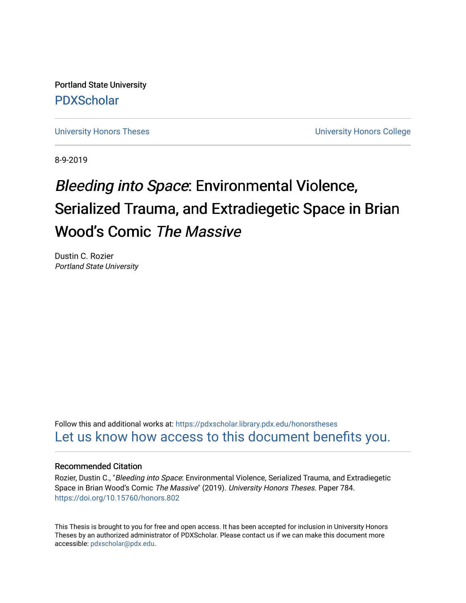Portland State University [PDXScholar](https://pdxscholar.library.pdx.edu/)

[University Honors Theses](https://pdxscholar.library.pdx.edu/honorstheses) **University Honors College** 

8-9-2019

## Bleeding into Space: Environmental Violence, Serialized Trauma, and Extradiegetic Space in Brian Wood's Comic The Massive

Dustin C. Rozier Portland State University

Follow this and additional works at: [https://pdxscholar.library.pdx.edu/honorstheses](https://pdxscholar.library.pdx.edu/honorstheses?utm_source=pdxscholar.library.pdx.edu%2Fhonorstheses%2F784&utm_medium=PDF&utm_campaign=PDFCoverPages)  [Let us know how access to this document benefits you.](http://library.pdx.edu/services/pdxscholar-services/pdxscholar-feedback/) 

## Recommended Citation

Rozier, Dustin C., "Bleeding into Space: Environmental Violence, Serialized Trauma, and Extradiegetic Space in Brian Wood's Comic The Massive" (2019). University Honors Theses. Paper 784. <https://doi.org/10.15760/honors.802>

This Thesis is brought to you for free and open access. It has been accepted for inclusion in University Honors Theses by an authorized administrator of PDXScholar. Please contact us if we can make this document more accessible: [pdxscholar@pdx.edu.](mailto:pdxscholar@pdx.edu)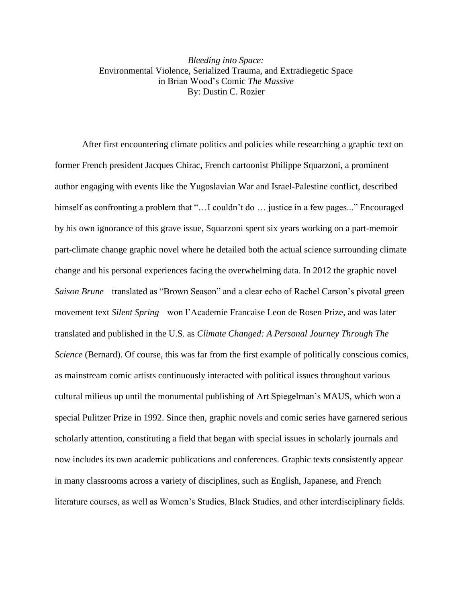*Bleeding into Space:* Environmental Violence, Serialized Trauma, and Extradiegetic Space in Brian Wood's Comic *The Massive* By: Dustin C. Rozier

After first encountering climate politics and policies while researching a graphic text on former French president Jacques Chirac, French cartoonist Philippe Squarzoni, a prominent author engaging with events like the Yugoslavian War and Israel-Palestine conflict, described himself as confronting a problem that "...I couldn't do ... justice in a few pages..." Encouraged by his own ignorance of this grave issue, Squarzoni spent six years working on a part-memoir part-climate change graphic novel where he detailed both the actual science surrounding climate change and his personal experiences facing the overwhelming data. In 2012 the graphic novel *Saison Brune—*translated as "Brown Season" and a clear echo of Rachel Carson's pivotal green movement text *Silent Spring—*won l'Academie Francaise Leon de Rosen Prize, and was later translated and published in the U.S. as *Climate Changed: A Personal Journey Through The Science* (Bernard). Of course, this was far from the first example of politically conscious comics, as mainstream comic artists continuously interacted with political issues throughout various cultural milieus up until the monumental publishing of Art Spiegelman's MAUS, which won a special Pulitzer Prize in 1992. Since then, graphic novels and comic series have garnered serious scholarly attention, constituting a field that began with special issues in scholarly journals and now includes its own academic publications and conferences. Graphic texts consistently appear in many classrooms across a variety of disciplines, such as English, Japanese, and French literature courses, as well as Women's Studies, Black Studies, and other interdisciplinary fields.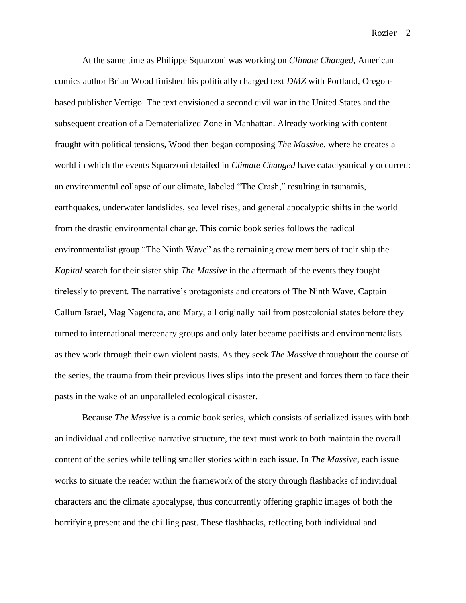At the same time as Philippe Squarzoni was working on *Climate Changed*, American comics author Brian Wood finished his politically charged text *DMZ* with Portland, Oregonbased publisher Vertigo. The text envisioned a second civil war in the United States and the subsequent creation of a Dematerialized Zone in Manhattan. Already working with content fraught with political tensions, Wood then began composing *The Massive*, where he creates a world in which the events Squarzoni detailed in *Climate Changed* have cataclysmically occurred: an environmental collapse of our climate, labeled "The Crash," resulting in tsunamis, earthquakes, underwater landslides, sea level rises, and general apocalyptic shifts in the world from the drastic environmental change. This comic book series follows the radical environmentalist group "The Ninth Wave" as the remaining crew members of their ship the *Kapital* search for their sister ship *The Massive* in the aftermath of the events they fought tirelessly to prevent. The narrative's protagonists and creators of The Ninth Wave, Captain Callum Israel, Mag Nagendra, and Mary, all originally hail from postcolonial states before they turned to international mercenary groups and only later became pacifists and environmentalists as they work through their own violent pasts. As they seek *The Massive* throughout the course of the series, the trauma from their previous lives slips into the present and forces them to face their pasts in the wake of an unparalleled ecological disaster.

Because *The Massive* is a comic book series, which consists of serialized issues with both an individual and collective narrative structure, the text must work to both maintain the overall content of the series while telling smaller stories within each issue. In *The Massive*, each issue works to situate the reader within the framework of the story through flashbacks of individual characters and the climate apocalypse, thus concurrently offering graphic images of both the horrifying present and the chilling past. These flashbacks, reflecting both individual and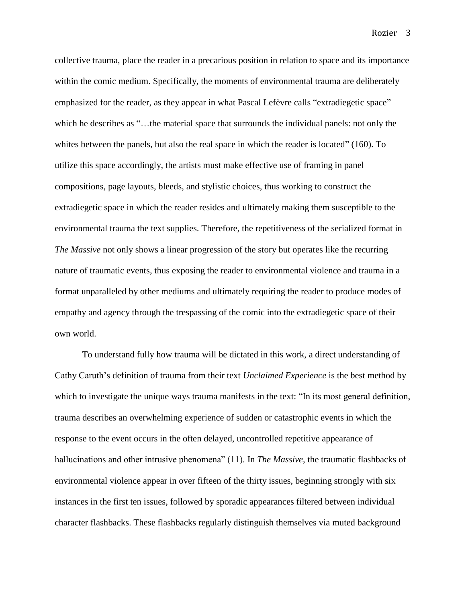collective trauma, place the reader in a precarious position in relation to space and its importance within the comic medium. Specifically, the moments of environmental trauma are deliberately emphasized for the reader, as they appear in what Pascal Lefèvre calls "extradiegetic space" which he describes as "...the material space that surrounds the individual panels: not only the whites between the panels, but also the real space in which the reader is located" (160). To utilize this space accordingly, the artists must make effective use of framing in panel compositions, page layouts, bleeds, and stylistic choices, thus working to construct the extradiegetic space in which the reader resides and ultimately making them susceptible to the environmental trauma the text supplies. Therefore, the repetitiveness of the serialized format in *The Massive* not only shows a linear progression of the story but operates like the recurring nature of traumatic events, thus exposing the reader to environmental violence and trauma in a format unparalleled by other mediums and ultimately requiring the reader to produce modes of empathy and agency through the trespassing of the comic into the extradiegetic space of their own world.

To understand fully how trauma will be dictated in this work, a direct understanding of Cathy Caruth's definition of trauma from their text *Unclaimed Experience* is the best method by which to investigate the unique ways trauma manifests in the text: "In its most general definition, trauma describes an overwhelming experience of sudden or catastrophic events in which the response to the event occurs in the often delayed, uncontrolled repetitive appearance of hallucinations and other intrusive phenomena" (11). In *The Massive*, the traumatic flashbacks of environmental violence appear in over fifteen of the thirty issues, beginning strongly with six instances in the first ten issues, followed by sporadic appearances filtered between individual character flashbacks. These flashbacks regularly distinguish themselves via muted background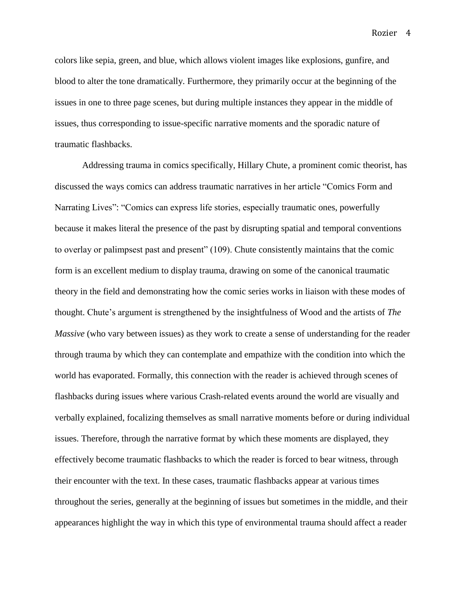colors like sepia, green, and blue, which allows violent images like explosions, gunfire, and blood to alter the tone dramatically. Furthermore, they primarily occur at the beginning of the issues in one to three page scenes, but during multiple instances they appear in the middle of issues, thus corresponding to issue-specific narrative moments and the sporadic nature of traumatic flashbacks.

Addressing trauma in comics specifically, Hillary Chute, a prominent comic theorist, has discussed the ways comics can address traumatic narratives in her article "Comics Form and Narrating Lives": "Comics can express life stories, especially traumatic ones, powerfully because it makes literal the presence of the past by disrupting spatial and temporal conventions to overlay or palimpsest past and present" (109). Chute consistently maintains that the comic form is an excellent medium to display trauma, drawing on some of the canonical traumatic theory in the field and demonstrating how the comic series works in liaison with these modes of thought. Chute's argument is strengthened by the insightfulness of Wood and the artists of *The Massive* (who vary between issues) as they work to create a sense of understanding for the reader through trauma by which they can contemplate and empathize with the condition into which the world has evaporated. Formally, this connection with the reader is achieved through scenes of flashbacks during issues where various Crash-related events around the world are visually and verbally explained, focalizing themselves as small narrative moments before or during individual issues. Therefore, through the narrative format by which these moments are displayed, they effectively become traumatic flashbacks to which the reader is forced to bear witness, through their encounter with the text. In these cases, traumatic flashbacks appear at various times throughout the series, generally at the beginning of issues but sometimes in the middle, and their appearances highlight the way in which this type of environmental trauma should affect a reader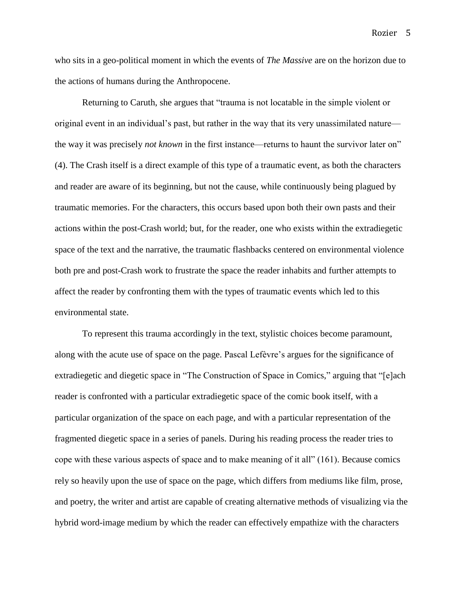who sits in a geo-political moment in which the events of *The Massive* are on the horizon due to the actions of humans during the Anthropocene.

Returning to Caruth, she argues that "trauma is not locatable in the simple violent or original event in an individual's past, but rather in the way that its very unassimilated nature the way it was precisely *not known* in the first instance—returns to haunt the survivor later on" (4). The Crash itself is a direct example of this type of a traumatic event, as both the characters and reader are aware of its beginning, but not the cause, while continuously being plagued by traumatic memories. For the characters, this occurs based upon both their own pasts and their actions within the post-Crash world; but, for the reader, one who exists within the extradiegetic space of the text and the narrative, the traumatic flashbacks centered on environmental violence both pre and post-Crash work to frustrate the space the reader inhabits and further attempts to affect the reader by confronting them with the types of traumatic events which led to this environmental state.

To represent this trauma accordingly in the text, stylistic choices become paramount, along with the acute use of space on the page. Pascal Lefèvre's argues for the significance of extradiegetic and diegetic space in "The Construction of Space in Comics," arguing that "[e]ach reader is confronted with a particular extradiegetic space of the comic book itself, with a particular organization of the space on each page, and with a particular representation of the fragmented diegetic space in a series of panels. During his reading process the reader tries to cope with these various aspects of space and to make meaning of it all" (161). Because comics rely so heavily upon the use of space on the page, which differs from mediums like film, prose, and poetry, the writer and artist are capable of creating alternative methods of visualizing via the hybrid word-image medium by which the reader can effectively empathize with the characters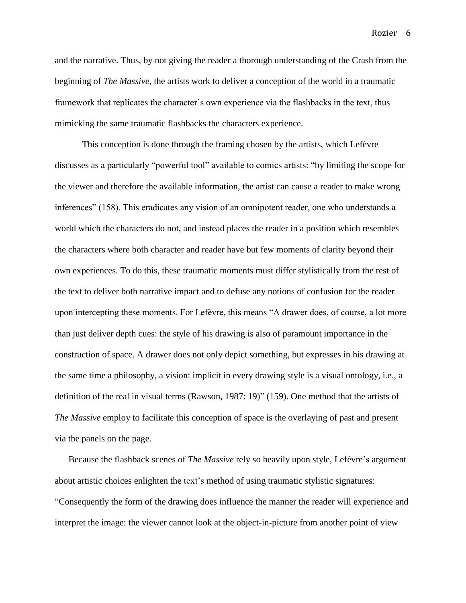and the narrative. Thus, by not giving the reader a thorough understanding of the Crash from the beginning of *The Massive*, the artists work to deliver a conception of the world in a traumatic framework that replicates the character's own experience via the flashbacks in the text, thus mimicking the same traumatic flashbacks the characters experience.

This conception is done through the framing chosen by the artists, which Lefèvre discusses as a particularly "powerful tool" available to comics artists: "by limiting the scope for the viewer and therefore the available information, the artist can cause a reader to make wrong inferences" (158). This eradicates any vision of an omnipotent reader, one who understands a world which the characters do not, and instead places the reader in a position which resembles the characters where both character and reader have but few moments of clarity beyond their own experiences. To do this, these traumatic moments must differ stylistically from the rest of the text to deliver both narrative impact and to defuse any notions of confusion for the reader upon intercepting these moments. For Lefèvre, this means "A drawer does, of course, a lot more than just deliver depth cues: the style of his drawing is also of paramount importance in the construction of space. A drawer does not only depict something, but expresses in his drawing at the same time a philosophy, a vision: implicit in every drawing style is a visual ontology, i.e., a definition of the real in visual terms (Rawson, 1987: 19)" (159). One method that the artists of *The Massive* employ to facilitate this conception of space is the overlaying of past and present via the panels on the page.

Because the flashback scenes of *The Massive* rely so heavily upon style, Lefèvre's argument about artistic choices enlighten the text's method of using traumatic stylistic signatures: "Consequently the form of the drawing does influence the manner the reader will experience and interpret the image: the viewer cannot look at the object-in-picture from another point of view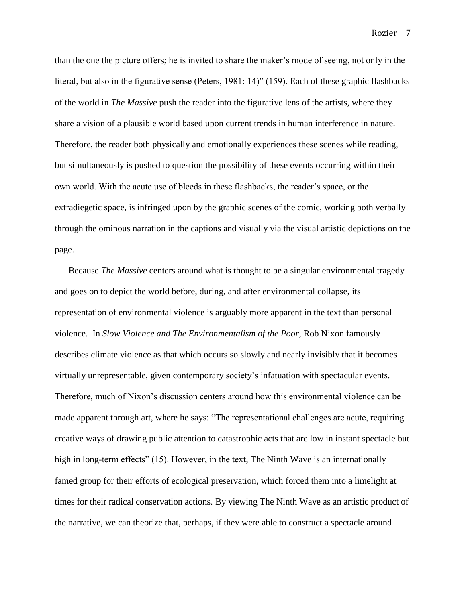than the one the picture offers; he is invited to share the maker's mode of seeing, not only in the literal, but also in the figurative sense (Peters, 1981: 14)" (159). Each of these graphic flashbacks of the world in *The Massive* push the reader into the figurative lens of the artists, where they share a vision of a plausible world based upon current trends in human interference in nature. Therefore, the reader both physically and emotionally experiences these scenes while reading, but simultaneously is pushed to question the possibility of these events occurring within their own world. With the acute use of bleeds in these flashbacks, the reader's space, or the extradiegetic space, is infringed upon by the graphic scenes of the comic, working both verbally through the ominous narration in the captions and visually via the visual artistic depictions on the page.

Because *The Massive* centers around what is thought to be a singular environmental tragedy and goes on to depict the world before, during, and after environmental collapse, its representation of environmental violence is arguably more apparent in the text than personal violence. In *Slow Violence and The Environmentalism of the Poor*, Rob Nixon famously describes climate violence as that which occurs so slowly and nearly invisibly that it becomes virtually unrepresentable, given contemporary society's infatuation with spectacular events. Therefore, much of Nixon's discussion centers around how this environmental violence can be made apparent through art, where he says: "The representational challenges are acute, requiring creative ways of drawing public attention to catastrophic acts that are low in instant spectacle but high in long-term effects" (15). However, in the text, The Ninth Wave is an internationally famed group for their efforts of ecological preservation, which forced them into a limelight at times for their radical conservation actions. By viewing The Ninth Wave as an artistic product of the narrative, we can theorize that, perhaps, if they were able to construct a spectacle around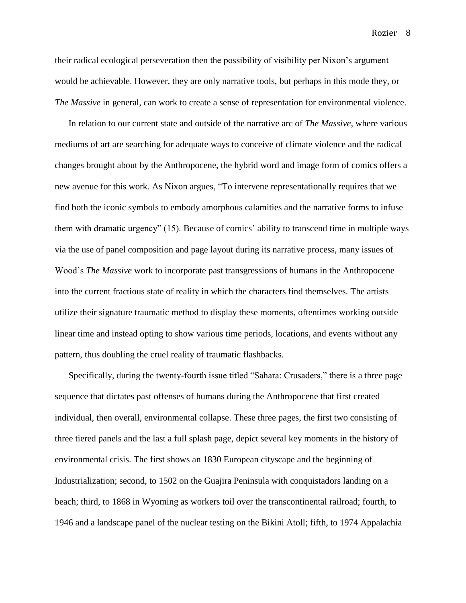their radical ecological perseveration then the possibility of visibility per Nixon's argument would be achievable. However, they are only narrative tools, but perhaps in this mode they, or *The Massive* in general, can work to create a sense of representation for environmental violence.

In relation to our current state and outside of the narrative arc of *The Massive*, where various mediums of art are searching for adequate ways to conceive of climate violence and the radical changes brought about by the Anthropocene, the hybrid word and image form of comics offers a new avenue for this work. As Nixon argues, "To intervene representationally requires that we find both the iconic symbols to embody amorphous calamities and the narrative forms to infuse them with dramatic urgency" (15). Because of comics' ability to transcend time in multiple ways via the use of panel composition and page layout during its narrative process, many issues of Wood's *The Massive* work to incorporate past transgressions of humans in the Anthropocene into the current fractious state of reality in which the characters find themselves. The artists utilize their signature traumatic method to display these moments, oftentimes working outside linear time and instead opting to show various time periods, locations, and events without any pattern, thus doubling the cruel reality of traumatic flashbacks.

Specifically, during the twenty-fourth issue titled "Sahara: Crusaders," there is a three page sequence that dictates past offenses of humans during the Anthropocene that first created individual, then overall, environmental collapse. These three pages, the first two consisting of three tiered panels and the last a full splash page, depict several key moments in the history of environmental crisis. The first shows an 1830 European cityscape and the beginning of Industrialization; second, to 1502 on the Guajira Peninsula with conquistadors landing on a beach; third, to 1868 in Wyoming as workers toil over the transcontinental railroad; fourth, to 1946 and a landscape panel of the nuclear testing on the Bikini Atoll; fifth, to 1974 Appalachia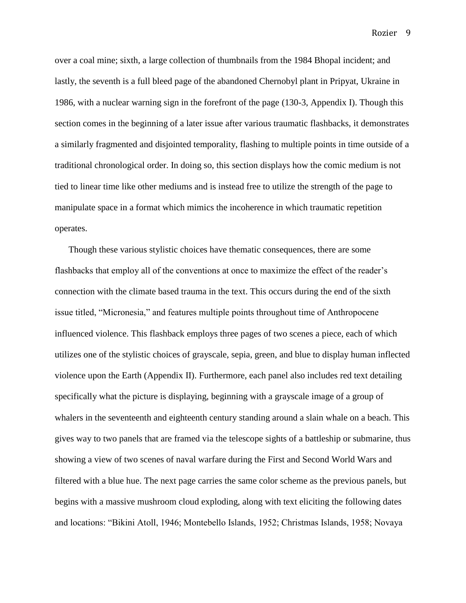over a coal mine; sixth, a large collection of thumbnails from the 1984 Bhopal incident; and lastly, the seventh is a full bleed page of the abandoned Chernobyl plant in Pripyat, Ukraine in 1986, with a nuclear warning sign in the forefront of the page (130-3, Appendix I). Though this section comes in the beginning of a later issue after various traumatic flashbacks, it demonstrates a similarly fragmented and disjointed temporality, flashing to multiple points in time outside of a traditional chronological order. In doing so, this section displays how the comic medium is not tied to linear time like other mediums and is instead free to utilize the strength of the page to manipulate space in a format which mimics the incoherence in which traumatic repetition operates.

Though these various stylistic choices have thematic consequences, there are some flashbacks that employ all of the conventions at once to maximize the effect of the reader's connection with the climate based trauma in the text. This occurs during the end of the sixth issue titled, "Micronesia," and features multiple points throughout time of Anthropocene influenced violence. This flashback employs three pages of two scenes a piece, each of which utilizes one of the stylistic choices of grayscale, sepia, green, and blue to display human inflected violence upon the Earth (Appendix II). Furthermore, each panel also includes red text detailing specifically what the picture is displaying, beginning with a grayscale image of a group of whalers in the seventeenth and eighteenth century standing around a slain whale on a beach. This gives way to two panels that are framed via the telescope sights of a battleship or submarine, thus showing a view of two scenes of naval warfare during the First and Second World Wars and filtered with a blue hue. The next page carries the same color scheme as the previous panels, but begins with a massive mushroom cloud exploding, along with text eliciting the following dates and locations: "Bikini Atoll, 1946; Montebello Islands, 1952; Christmas Islands, 1958; Novaya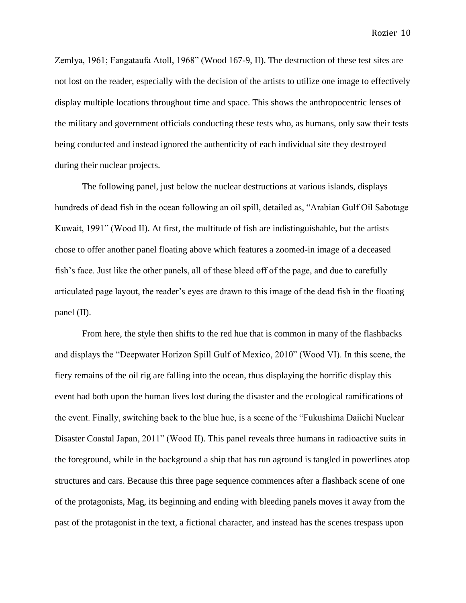Zemlya, 1961; Fangataufa Atoll, 1968" (Wood 167-9, II). The destruction of these test sites are not lost on the reader, especially with the decision of the artists to utilize one image to effectively display multiple locations throughout time and space. This shows the anthropocentric lenses of the military and government officials conducting these tests who, as humans, only saw their tests being conducted and instead ignored the authenticity of each individual site they destroyed during their nuclear projects.

The following panel, just below the nuclear destructions at various islands, displays hundreds of dead fish in the ocean following an oil spill, detailed as, "Arabian Gulf Oil Sabotage Kuwait, 1991" (Wood II). At first, the multitude of fish are indistinguishable, but the artists chose to offer another panel floating above which features a zoomed-in image of a deceased fish's face. Just like the other panels, all of these bleed off of the page, and due to carefully articulated page layout, the reader's eyes are drawn to this image of the dead fish in the floating panel (II).

From here, the style then shifts to the red hue that is common in many of the flashbacks and displays the "Deepwater Horizon Spill Gulf of Mexico, 2010" (Wood VI). In this scene, the fiery remains of the oil rig are falling into the ocean, thus displaying the horrific display this event had both upon the human lives lost during the disaster and the ecological ramifications of the event. Finally, switching back to the blue hue, is a scene of the "Fukushima Daiichi Nuclear Disaster Coastal Japan, 2011" (Wood II). This panel reveals three humans in radioactive suits in the foreground, while in the background a ship that has run aground is tangled in powerlines atop structures and cars. Because this three page sequence commences after a flashback scene of one of the protagonists, Mag, its beginning and ending with bleeding panels moves it away from the past of the protagonist in the text, a fictional character, and instead has the scenes trespass upon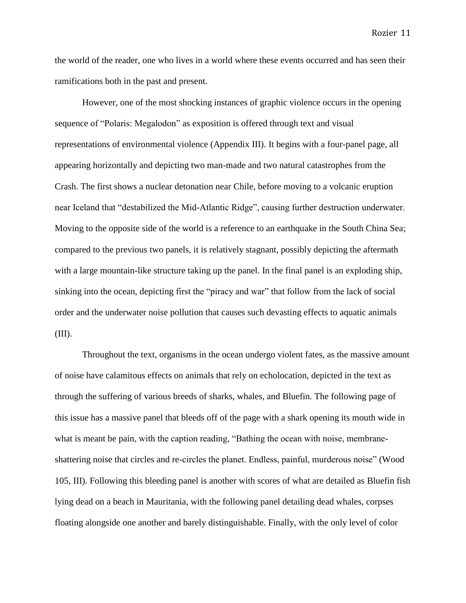the world of the reader, one who lives in a world where these events occurred and has seen their ramifications both in the past and present.

However, one of the most shocking instances of graphic violence occurs in the opening sequence of "Polaris: Megalodon" as exposition is offered through text and visual representations of environmental violence (Appendix III). It begins with a four-panel page, all appearing horizontally and depicting two man-made and two natural catastrophes from the Crash. The first shows a nuclear detonation near Chile, before moving to a volcanic eruption near Iceland that "destabilized the Mid-Atlantic Ridge", causing further destruction underwater. Moving to the opposite side of the world is a reference to an earthquake in the South China Sea; compared to the previous two panels, it is relatively stagnant, possibly depicting the aftermath with a large mountain-like structure taking up the panel. In the final panel is an exploding ship, sinking into the ocean, depicting first the "piracy and war" that follow from the lack of social order and the underwater noise pollution that causes such devasting effects to aquatic animals (III).

Throughout the text, organisms in the ocean undergo violent fates, as the massive amount of noise have calamitous effects on animals that rely on echolocation, depicted in the text as through the suffering of various breeds of sharks, whales, and Bluefin. The following page of this issue has a massive panel that bleeds off of the page with a shark opening its mouth wide in what is meant be pain, with the caption reading, "Bathing the ocean with noise, membraneshattering noise that circles and re-circles the planet. Endless, painful, murderous noise" (Wood 105, III). Following this bleeding panel is another with scores of what are detailed as Bluefin fish lying dead on a beach in Mauritania, with the following panel detailing dead whales, corpses floating alongside one another and barely distinguishable. Finally, with the only level of color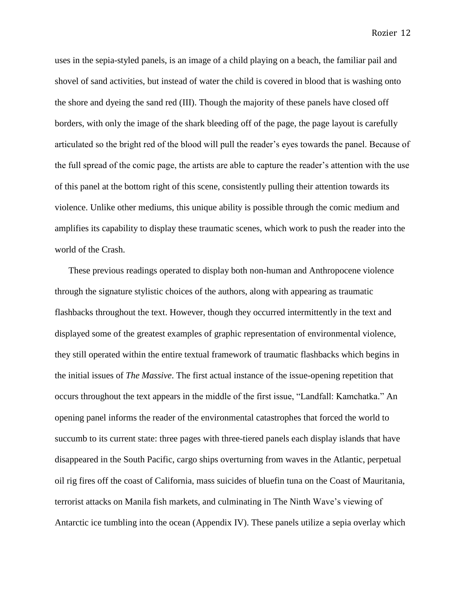uses in the sepia-styled panels, is an image of a child playing on a beach, the familiar pail and shovel of sand activities, but instead of water the child is covered in blood that is washing onto the shore and dyeing the sand red (III). Though the majority of these panels have closed off borders, with only the image of the shark bleeding off of the page, the page layout is carefully articulated so the bright red of the blood will pull the reader's eyes towards the panel. Because of the full spread of the comic page, the artists are able to capture the reader's attention with the use of this panel at the bottom right of this scene, consistently pulling their attention towards its violence. Unlike other mediums, this unique ability is possible through the comic medium and amplifies its capability to display these traumatic scenes, which work to push the reader into the world of the Crash.

These previous readings operated to display both non-human and Anthropocene violence through the signature stylistic choices of the authors, along with appearing as traumatic flashbacks throughout the text. However, though they occurred intermittently in the text and displayed some of the greatest examples of graphic representation of environmental violence, they still operated within the entire textual framework of traumatic flashbacks which begins in the initial issues of *The Massive*. The first actual instance of the issue-opening repetition that occurs throughout the text appears in the middle of the first issue, "Landfall: Kamchatka." An opening panel informs the reader of the environmental catastrophes that forced the world to succumb to its current state: three pages with three-tiered panels each display islands that have disappeared in the South Pacific, cargo ships overturning from waves in the Atlantic, perpetual oil rig fires off the coast of California, mass suicides of bluefin tuna on the Coast of Mauritania, terrorist attacks on Manila fish markets, and culminating in The Ninth Wave's viewing of Antarctic ice tumbling into the ocean (Appendix IV). These panels utilize a sepia overlay which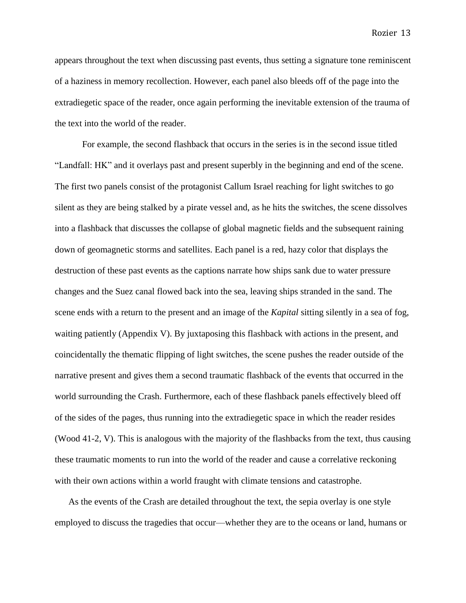appears throughout the text when discussing past events, thus setting a signature tone reminiscent of a haziness in memory recollection. However, each panel also bleeds off of the page into the extradiegetic space of the reader, once again performing the inevitable extension of the trauma of the text into the world of the reader.

For example, the second flashback that occurs in the series is in the second issue titled "Landfall: HK" and it overlays past and present superbly in the beginning and end of the scene. The first two panels consist of the protagonist Callum Israel reaching for light switches to go silent as they are being stalked by a pirate vessel and, as he hits the switches, the scene dissolves into a flashback that discusses the collapse of global magnetic fields and the subsequent raining down of geomagnetic storms and satellites. Each panel is a red, hazy color that displays the destruction of these past events as the captions narrate how ships sank due to water pressure changes and the Suez canal flowed back into the sea, leaving ships stranded in the sand. The scene ends with a return to the present and an image of the *Kapital* sitting silently in a sea of fog, waiting patiently (Appendix V). By juxtaposing this flashback with actions in the present, and coincidentally the thematic flipping of light switches, the scene pushes the reader outside of the narrative present and gives them a second traumatic flashback of the events that occurred in the world surrounding the Crash. Furthermore, each of these flashback panels effectively bleed off of the sides of the pages, thus running into the extradiegetic space in which the reader resides (Wood 41-2, V). This is analogous with the majority of the flashbacks from the text, thus causing these traumatic moments to run into the world of the reader and cause a correlative reckoning with their own actions within a world fraught with climate tensions and catastrophe.

As the events of the Crash are detailed throughout the text, the sepia overlay is one style employed to discuss the tragedies that occur—whether they are to the oceans or land, humans or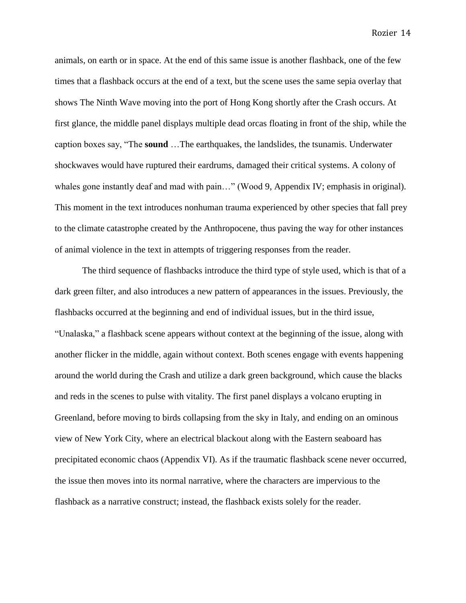animals, on earth or in space. At the end of this same issue is another flashback, one of the few times that a flashback occurs at the end of a text, but the scene uses the same sepia overlay that shows The Ninth Wave moving into the port of Hong Kong shortly after the Crash occurs. At first glance, the middle panel displays multiple dead orcas floating in front of the ship, while the caption boxes say, "The **sound** …The earthquakes, the landslides, the tsunamis. Underwater shockwaves would have ruptured their eardrums, damaged their critical systems. A colony of whales gone instantly deaf and mad with pain..." (Wood 9, Appendix IV; emphasis in original). This moment in the text introduces nonhuman trauma experienced by other species that fall prey to the climate catastrophe created by the Anthropocene, thus paving the way for other instances of animal violence in the text in attempts of triggering responses from the reader.

The third sequence of flashbacks introduce the third type of style used, which is that of a dark green filter, and also introduces a new pattern of appearances in the issues. Previously, the flashbacks occurred at the beginning and end of individual issues, but in the third issue, "Unalaska," a flashback scene appears without context at the beginning of the issue, along with another flicker in the middle, again without context. Both scenes engage with events happening around the world during the Crash and utilize a dark green background, which cause the blacks and reds in the scenes to pulse with vitality. The first panel displays a volcano erupting in Greenland, before moving to birds collapsing from the sky in Italy, and ending on an ominous view of New York City, where an electrical blackout along with the Eastern seaboard has precipitated economic chaos (Appendix VI). As if the traumatic flashback scene never occurred, the issue then moves into its normal narrative, where the characters are impervious to the flashback as a narrative construct; instead, the flashback exists solely for the reader.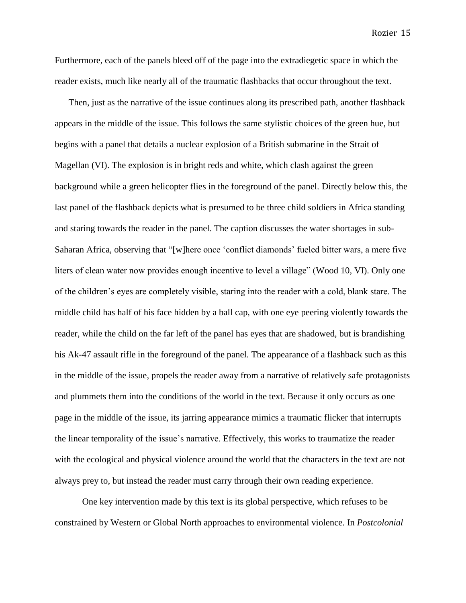Furthermore, each of the panels bleed off of the page into the extradiegetic space in which the reader exists, much like nearly all of the traumatic flashbacks that occur throughout the text.

Then, just as the narrative of the issue continues along its prescribed path, another flashback appears in the middle of the issue. This follows the same stylistic choices of the green hue, but begins with a panel that details a nuclear explosion of a British submarine in the Strait of Magellan (VI). The explosion is in bright reds and white, which clash against the green background while a green helicopter flies in the foreground of the panel. Directly below this, the last panel of the flashback depicts what is presumed to be three child soldiers in Africa standing and staring towards the reader in the panel. The caption discusses the water shortages in sub-Saharan Africa, observing that "[w]here once 'conflict diamonds' fueled bitter wars, a mere five liters of clean water now provides enough incentive to level a village" (Wood 10, VI). Only one of the children's eyes are completely visible, staring into the reader with a cold, blank stare. The middle child has half of his face hidden by a ball cap, with one eye peering violently towards the reader, while the child on the far left of the panel has eyes that are shadowed, but is brandishing his Ak-47 assault rifle in the foreground of the panel. The appearance of a flashback such as this in the middle of the issue, propels the reader away from a narrative of relatively safe protagonists and plummets them into the conditions of the world in the text. Because it only occurs as one page in the middle of the issue, its jarring appearance mimics a traumatic flicker that interrupts the linear temporality of the issue's narrative. Effectively, this works to traumatize the reader with the ecological and physical violence around the world that the characters in the text are not always prey to, but instead the reader must carry through their own reading experience.

One key intervention made by this text is its global perspective, which refuses to be constrained by Western or Global North approaches to environmental violence. In *Postcolonial* 

Rozier 15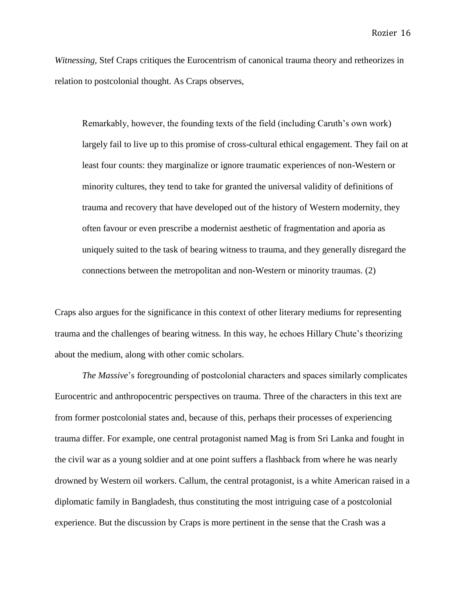*Witnessing,* Stef Craps critiques the Eurocentrism of canonical trauma theory and retheorizes in relation to postcolonial thought. As Craps observes,

Remarkably, however, the founding texts of the field (including Caruth's own work) largely fail to live up to this promise of cross-cultural ethical engagement. They fail on at least four counts: they marginalize or ignore traumatic experiences of non-Western or minority cultures, they tend to take for granted the universal validity of definitions of trauma and recovery that have developed out of the history of Western modernity, they often favour or even prescribe a modernist aesthetic of fragmentation and aporia as uniquely suited to the task of bearing witness to trauma, and they generally disregard the connections between the metropolitan and non-Western or minority traumas. (2)

Craps also argues for the significance in this context of other literary mediums for representing trauma and the challenges of bearing witness. In this way, he echoes Hillary Chute's theorizing about the medium, along with other comic scholars.

*The Massive*'s foregrounding of postcolonial characters and spaces similarly complicates Eurocentric and anthropocentric perspectives on trauma. Three of the characters in this text are from former postcolonial states and, because of this, perhaps their processes of experiencing trauma differ. For example, one central protagonist named Mag is from Sri Lanka and fought in the civil war as a young soldier and at one point suffers a flashback from where he was nearly drowned by Western oil workers. Callum, the central protagonist, is a white American raised in a diplomatic family in Bangladesh, thus constituting the most intriguing case of a postcolonial experience. But the discussion by Craps is more pertinent in the sense that the Crash was a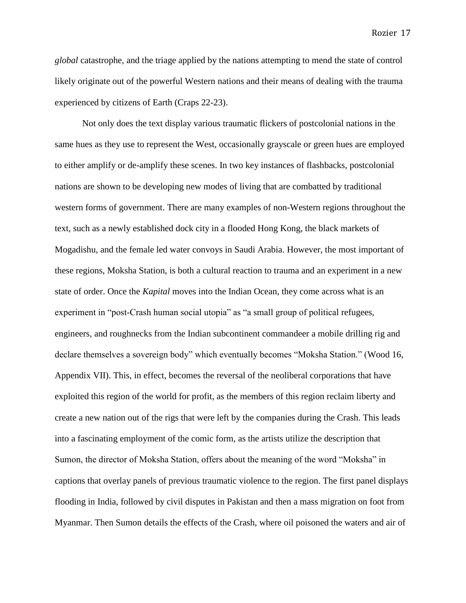*global* catastrophe, and the triage applied by the nations attempting to mend the state of control likely originate out of the powerful Western nations and their means of dealing with the trauma experienced by citizens of Earth (Craps 22-23).

Not only does the text display various traumatic flickers of postcolonial nations in the same hues as they use to represent the West, occasionally grayscale or green hues are employed to either amplify or de-amplify these scenes. In two key instances of flashbacks, postcolonial nations are shown to be developing new modes of living that are combatted by traditional western forms of government. There are many examples of non-Western regions throughout the text, such as a newly established dock city in a flooded Hong Kong, the black markets of Mogadishu, and the female led water convoys in Saudi Arabia. However, the most important of these regions, Moksha Station, is both a cultural reaction to trauma and an experiment in a new state of order. Once the *Kapital* moves into the Indian Ocean, they come across what is an experiment in "post-Crash human social utopia" as "a small group of political refugees, engineers, and roughnecks from the Indian subcontinent commandeer a mobile drilling rig and declare themselves a sovereign body" which eventually becomes "Moksha Station." (Wood 16, Appendix VII). This, in effect, becomes the reversal of the neoliberal corporations that have exploited this region of the world for profit, as the members of this region reclaim liberty and create a new nation out of the rigs that were left by the companies during the Crash. This leads into a fascinating employment of the comic form, as the artists utilize the description that Sumon, the director of Moksha Station, offers about the meaning of the word "Moksha" in captions that overlay panels of previous traumatic violence to the region. The first panel displays flooding in India, followed by civil disputes in Pakistan and then a mass migration on foot from Myanmar. Then Sumon details the effects of the Crash, where oil poisoned the waters and air of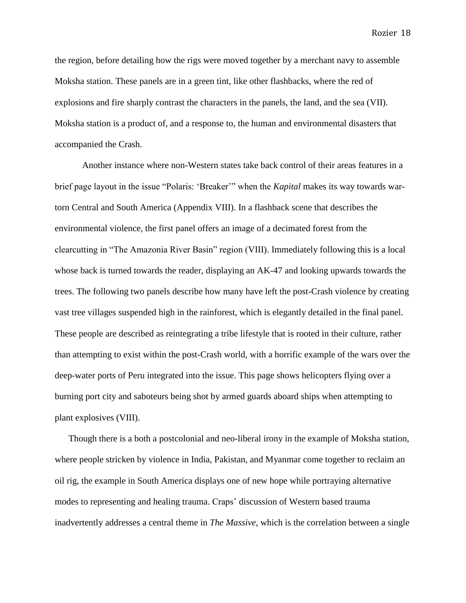the region, before detailing how the rigs were moved together by a merchant navy to assemble Moksha station. These panels are in a green tint, like other flashbacks, where the red of explosions and fire sharply contrast the characters in the panels, the land, and the sea (VII). Moksha station is a product of, and a response to, the human and environmental disasters that accompanied the Crash.

Another instance where non-Western states take back control of their areas features in a brief page layout in the issue "Polaris: 'Breaker'" when the *Kapital* makes its way towards wartorn Central and South America (Appendix VIII). In a flashback scene that describes the environmental violence, the first panel offers an image of a decimated forest from the clearcutting in "The Amazonia River Basin" region (VIII). Immediately following this is a local whose back is turned towards the reader, displaying an AK-47 and looking upwards towards the trees. The following two panels describe how many have left the post-Crash violence by creating vast tree villages suspended high in the rainforest, which is elegantly detailed in the final panel. These people are described as reintegrating a tribe lifestyle that is rooted in their culture, rather than attempting to exist within the post-Crash world, with a horrific example of the wars over the deep-water ports of Peru integrated into the issue. This page shows helicopters flying over a burning port city and saboteurs being shot by armed guards aboard ships when attempting to plant explosives (VIII).

Though there is a both a postcolonial and neo-liberal irony in the example of Moksha station, where people stricken by violence in India, Pakistan, and Myanmar come together to reclaim an oil rig, the example in South America displays one of new hope while portraying alternative modes to representing and healing trauma. Craps' discussion of Western based trauma inadvertently addresses a central theme in *The Massive*, which is the correlation between a single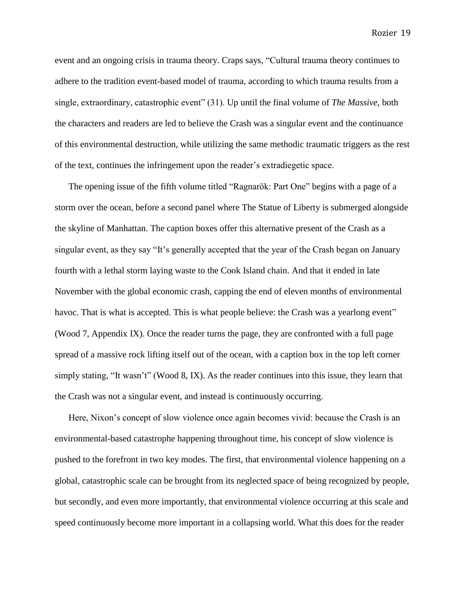event and an ongoing crisis in trauma theory. Craps says, "Cultural trauma theory continues to adhere to the tradition event-based model of trauma, according to which trauma results from a single, extraordinary, catastrophic event" (31). Up until the final volume of *The Massive*, both the characters and readers are led to believe the Crash was a singular event and the continuance of this environmental destruction, while utilizing the same methodic traumatic triggers as the rest of the text, continues the infringement upon the reader's extradiegetic space.

The opening issue of the fifth volume titled "Ragnarök: Part One" begins with a page of a storm over the ocean, before a second panel where The Statue of Liberty is submerged alongside the skyline of Manhattan. The caption boxes offer this alternative present of the Crash as a singular event, as they say "It's generally accepted that the year of the Crash began on January fourth with a lethal storm laying waste to the Cook Island chain. And that it ended in late November with the global economic crash, capping the end of eleven months of environmental havoc. That is what is accepted. This is what people believe: the Crash was a yearlong event" (Wood 7, Appendix IX). Once the reader turns the page, they are confronted with a full page spread of a massive rock lifting itself out of the ocean, with a caption box in the top left corner simply stating, "It wasn't" (Wood 8, IX). As the reader continues into this issue, they learn that the Crash was not a singular event, and instead is continuously occurring.

Here, Nixon's concept of slow violence once again becomes vivid: because the Crash is an environmental-based catastrophe happening throughout time, his concept of slow violence is pushed to the forefront in two key modes. The first, that environmental violence happening on a global, catastrophic scale can be brought from its neglected space of being recognized by people, but secondly, and even more importantly, that environmental violence occurring at this scale and speed continuously become more important in a collapsing world. What this does for the reader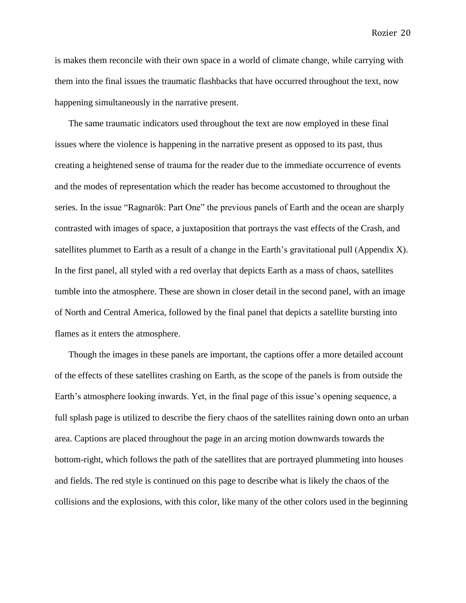is makes them reconcile with their own space in a world of climate change, while carrying with them into the final issues the traumatic flashbacks that have occurred throughout the text, now happening simultaneously in the narrative present.

The same traumatic indicators used throughout the text are now employed in these final issues where the violence is happening in the narrative present as opposed to its past, thus creating a heightened sense of trauma for the reader due to the immediate occurrence of events and the modes of representation which the reader has become accustomed to throughout the series. In the issue "Ragnarök: Part One" the previous panels of Earth and the ocean are sharply contrasted with images of space, a juxtaposition that portrays the vast effects of the Crash, and satellites plummet to Earth as a result of a change in the Earth's gravitational pull (Appendix X). In the first panel, all styled with a red overlay that depicts Earth as a mass of chaos, satellites tumble into the atmosphere. These are shown in closer detail in the second panel, with an image of North and Central America, followed by the final panel that depicts a satellite bursting into flames as it enters the atmosphere.

Though the images in these panels are important, the captions offer a more detailed account of the effects of these satellites crashing on Earth, as the scope of the panels is from outside the Earth's atmosphere looking inwards. Yet, in the final page of this issue's opening sequence, a full splash page is utilized to describe the fiery chaos of the satellites raining down onto an urban area. Captions are placed throughout the page in an arcing motion downwards towards the bottom-right, which follows the path of the satellites that are portrayed plummeting into houses and fields. The red style is continued on this page to describe what is likely the chaos of the collisions and the explosions, with this color, like many of the other colors used in the beginning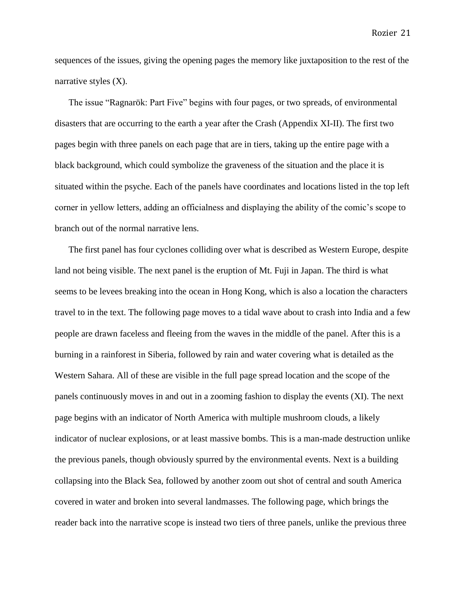sequences of the issues, giving the opening pages the memory like juxtaposition to the rest of the narrative styles (X).

The issue "Ragnarök: Part Five" begins with four pages, or two spreads, of environmental disasters that are occurring to the earth a year after the Crash (Appendix XI-II). The first two pages begin with three panels on each page that are in tiers, taking up the entire page with a black background, which could symbolize the graveness of the situation and the place it is situated within the psyche. Each of the panels have coordinates and locations listed in the top left corner in yellow letters, adding an officialness and displaying the ability of the comic's scope to branch out of the normal narrative lens.

The first panel has four cyclones colliding over what is described as Western Europe, despite land not being visible. The next panel is the eruption of Mt. Fuji in Japan. The third is what seems to be levees breaking into the ocean in Hong Kong, which is also a location the characters travel to in the text. The following page moves to a tidal wave about to crash into India and a few people are drawn faceless and fleeing from the waves in the middle of the panel. After this is a burning in a rainforest in Siberia, followed by rain and water covering what is detailed as the Western Sahara. All of these are visible in the full page spread location and the scope of the panels continuously moves in and out in a zooming fashion to display the events (XI). The next page begins with an indicator of North America with multiple mushroom clouds, a likely indicator of nuclear explosions, or at least massive bombs. This is a man-made destruction unlike the previous panels, though obviously spurred by the environmental events. Next is a building collapsing into the Black Sea, followed by another zoom out shot of central and south America covered in water and broken into several landmasses. The following page, which brings the reader back into the narrative scope is instead two tiers of three panels, unlike the previous three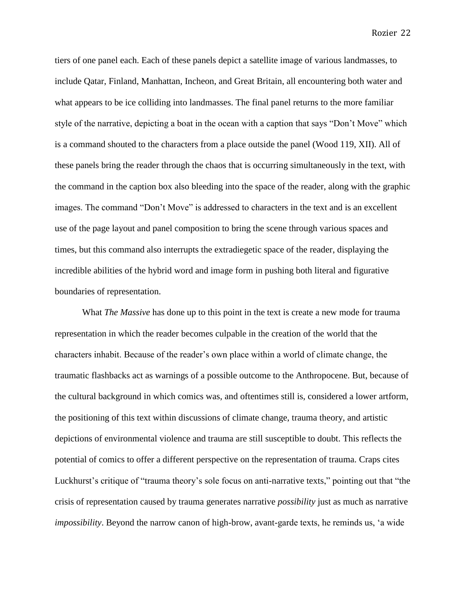tiers of one panel each. Each of these panels depict a satellite image of various landmasses, to include Qatar, Finland, Manhattan, Incheon, and Great Britain, all encountering both water and what appears to be ice colliding into landmasses. The final panel returns to the more familiar style of the narrative, depicting a boat in the ocean with a caption that says "Don't Move" which is a command shouted to the characters from a place outside the panel (Wood 119, XII). All of these panels bring the reader through the chaos that is occurring simultaneously in the text, with the command in the caption box also bleeding into the space of the reader, along with the graphic images. The command "Don't Move" is addressed to characters in the text and is an excellent use of the page layout and panel composition to bring the scene through various spaces and times, but this command also interrupts the extradiegetic space of the reader, displaying the incredible abilities of the hybrid word and image form in pushing both literal and figurative boundaries of representation.

What *The Massive* has done up to this point in the text is create a new mode for trauma representation in which the reader becomes culpable in the creation of the world that the characters inhabit. Because of the reader's own place within a world of climate change, the traumatic flashbacks act as warnings of a possible outcome to the Anthropocene. But, because of the cultural background in which comics was, and oftentimes still is, considered a lower artform, the positioning of this text within discussions of climate change, trauma theory, and artistic depictions of environmental violence and trauma are still susceptible to doubt. This reflects the potential of comics to offer a different perspective on the representation of trauma. Craps cites Luckhurst's critique of "trauma theory's sole focus on anti-narrative texts," pointing out that "the crisis of representation caused by trauma generates narrative *possibility* just as much as narrative *impossibility*. Beyond the narrow canon of high-brow, avant-garde texts, he reminds us, 'a wide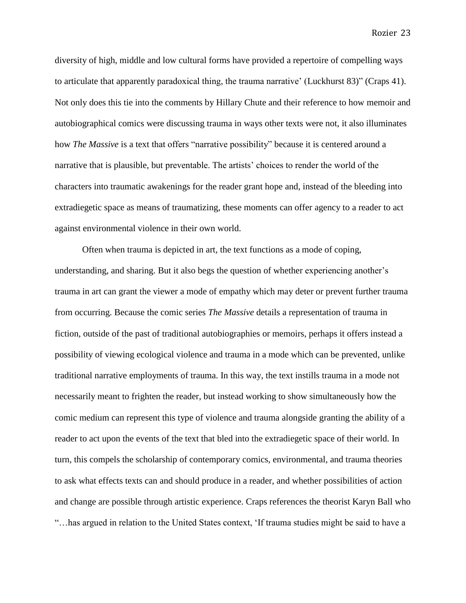diversity of high, middle and low cultural forms have provided a repertoire of compelling ways to articulate that apparently paradoxical thing, the trauma narrative' (Luckhurst 83)" (Craps 41). Not only does this tie into the comments by Hillary Chute and their reference to how memoir and autobiographical comics were discussing trauma in ways other texts were not, it also illuminates how *The Massive* is a text that offers "narrative possibility" because it is centered around a narrative that is plausible, but preventable. The artists' choices to render the world of the characters into traumatic awakenings for the reader grant hope and, instead of the bleeding into extradiegetic space as means of traumatizing, these moments can offer agency to a reader to act against environmental violence in their own world.

Often when trauma is depicted in art, the text functions as a mode of coping, understanding, and sharing. But it also begs the question of whether experiencing another's trauma in art can grant the viewer a mode of empathy which may deter or prevent further trauma from occurring. Because the comic series *The Massive* details a representation of trauma in fiction, outside of the past of traditional autobiographies or memoirs, perhaps it offers instead a possibility of viewing ecological violence and trauma in a mode which can be prevented, unlike traditional narrative employments of trauma. In this way, the text instills trauma in a mode not necessarily meant to frighten the reader, but instead working to show simultaneously how the comic medium can represent this type of violence and trauma alongside granting the ability of a reader to act upon the events of the text that bled into the extradiegetic space of their world. In turn, this compels the scholarship of contemporary comics, environmental, and trauma theories to ask what effects texts can and should produce in a reader, and whether possibilities of action and change are possible through artistic experience. Craps references the theorist Karyn Ball who "…has argued in relation to the United States context, 'If trauma studies might be said to have a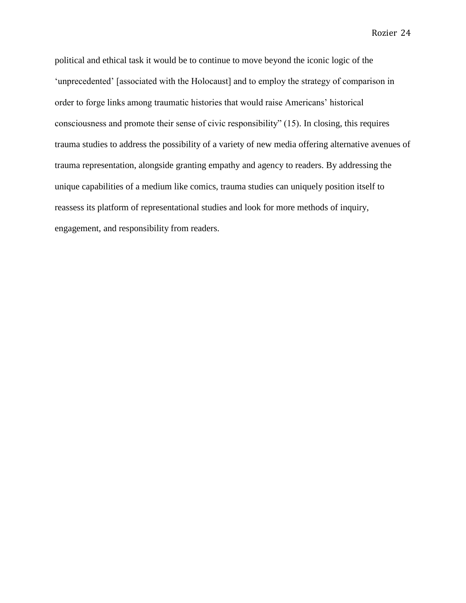political and ethical task it would be to continue to move beyond the iconic logic of the 'unprecedented' [associated with the Holocaust] and to employ the strategy of comparison in order to forge links among traumatic histories that would raise Americans' historical consciousness and promote their sense of civic responsibility" (15). In closing, this requires trauma studies to address the possibility of a variety of new media offering alternative avenues of trauma representation, alongside granting empathy and agency to readers. By addressing the unique capabilities of a medium like comics, trauma studies can uniquely position itself to reassess its platform of representational studies and look for more methods of inquiry, engagement, and responsibility from readers.